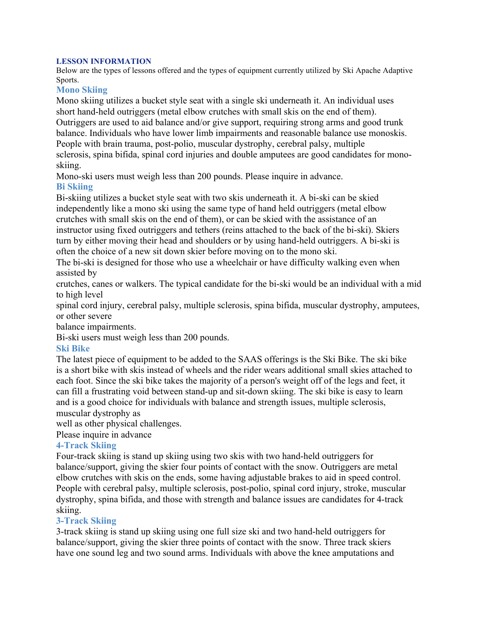#### **LESSON INFORMATION**

Below are the types of lessons offered and the types of equipment currently utilized by Ski Apache Adaptive Sports.

#### **Mono Skiing**

Mono skiing utilizes a bucket style seat with a single ski underneath it. An individual uses short hand-held outriggers (metal elbow crutches with small skis on the end of them). Outriggers are used to aid balance and/or give support, requiring strong arms and good trunk balance. Individuals who have lower limb impairments and reasonable balance use monoskis. People with brain trauma, post-polio, muscular dystrophy, cerebral palsy, multiple sclerosis, spina bifida, spinal cord injuries and double amputees are good candidates for monoskiing.

Mono-ski users must weigh less than 200 pounds. Please inquire in advance. **Bi Skiing**

Bi-skiing utilizes a bucket style seat with two skis underneath it. A bi-ski can be skied independently like a mono ski using the same type of hand held outriggers (metal elbow crutches with small skis on the end of them), or can be skied with the assistance of an instructor using fixed outriggers and tethers (reins attached to the back of the bi-ski). Skiers turn by either moving their head and shoulders or by using hand-held outriggers. A bi-ski is often the choice of a new sit down skier before moving on to the mono ski.

The bi-ski is designed for those who use a wheelchair or have difficulty walking even when assisted by

crutches, canes or walkers. The typical candidate for the bi-ski would be an individual with a mid to high level

spinal cord injury, cerebral palsy, multiple sclerosis, spina bifida, muscular dystrophy, amputees, or other severe

balance impairments.

Bi-ski users must weigh less than 200 pounds.

#### **Ski Bike**

The latest piece of equipment to be added to the SAAS offerings is the Ski Bike. The ski bike is a short bike with skis instead of wheels and the rider wears additional small skies attached to each foot. Since the ski bike takes the majority of a person's weight off of the legs and feet, it can fill a frustrating void between stand-up and sit-down skiing. The ski bike is easy to learn and is a good choice for individuals with balance and strength issues, multiple sclerosis, muscular dystrophy as

well as other physical challenges.

Please inquire in advance

# **4-Track Skiing**

Four-track skiing is stand up skiing using two skis with two hand-held outriggers for balance/support, giving the skier four points of contact with the snow. Outriggers are metal elbow crutches with skis on the ends, some having adjustable brakes to aid in speed control. People with cerebral palsy, multiple sclerosis, post-polio, spinal cord injury, stroke, muscular dystrophy, spina bifida, and those with strength and balance issues are candidates for 4-track skiing.

# **3-Track Skiing**

3-track skiing is stand up skiing using one full size ski and two hand-held outriggers for balance/support, giving the skier three points of contact with the snow. Three track skiers have one sound leg and two sound arms. Individuals with above the knee amputations and